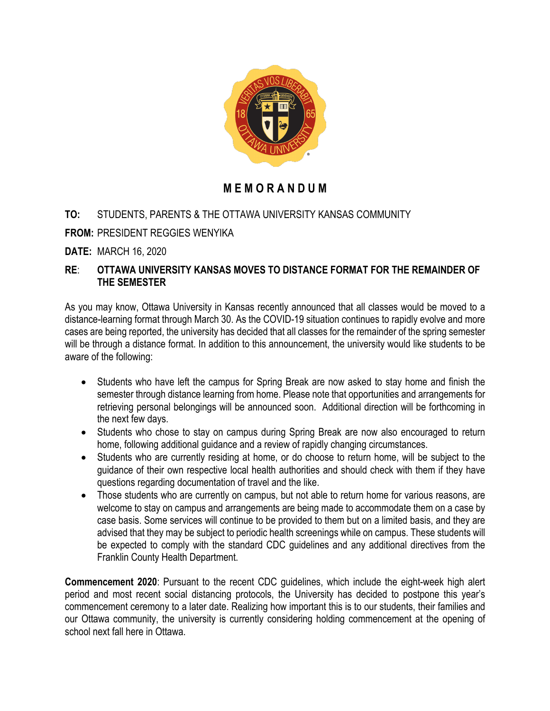

## **M E M O R A N D U M**

## **TO:** STUDENTS, PARENTS & THE OTTAWA UNIVERSITY KANSAS COMMUNITY

**FROM:** PRESIDENT REGGIES WENYIKA

**DATE:** MARCH 16, 2020

## **RE**: **OTTAWA UNIVERSITY KANSAS MOVES TO DISTANCE FORMAT FOR THE REMAINDER OF THE SEMESTER**

As you may know, Ottawa University in Kansas recently announced that all classes would be moved to a distance-learning format through March 30. As the COVID-19 situation continues to rapidly evolve and more cases are being reported, the university has decided that all classes for the remainder of the spring semester will be through a distance format. In addition to this announcement, the university would like students to be aware of the following:

- Students who have left the campus for Spring Break are now asked to stay home and finish the semester through distance learning from home. Please note that opportunities and arrangements for retrieving personal belongings will be announced soon. Additional direction will be forthcoming in the next few days.
- Students who chose to stay on campus during Spring Break are now also encouraged to return home, following additional guidance and a review of rapidly changing circumstances.
- Students who are currently residing at home, or do choose to return home, will be subject to the guidance of their own respective local health authorities and should check with them if they have questions regarding documentation of travel and the like.
- Those students who are currently on campus, but not able to return home for various reasons, are welcome to stay on campus and arrangements are being made to accommodate them on a case by case basis. Some services will continue to be provided to them but on a limited basis, and they are advised that they may be subject to periodic health screenings while on campus. These students will be expected to comply with the standard CDC guidelines and any additional directives from the Franklin County Health Department.

**Commencement 2020**: Pursuant to the recent CDC guidelines, which include the eight-week high alert period and most recent social distancing protocols, the University has decided to postpone this year's commencement ceremony to a later date. Realizing how important this is to our students, their families and our Ottawa community, the university is currently considering holding commencement at the opening of school next fall here in Ottawa